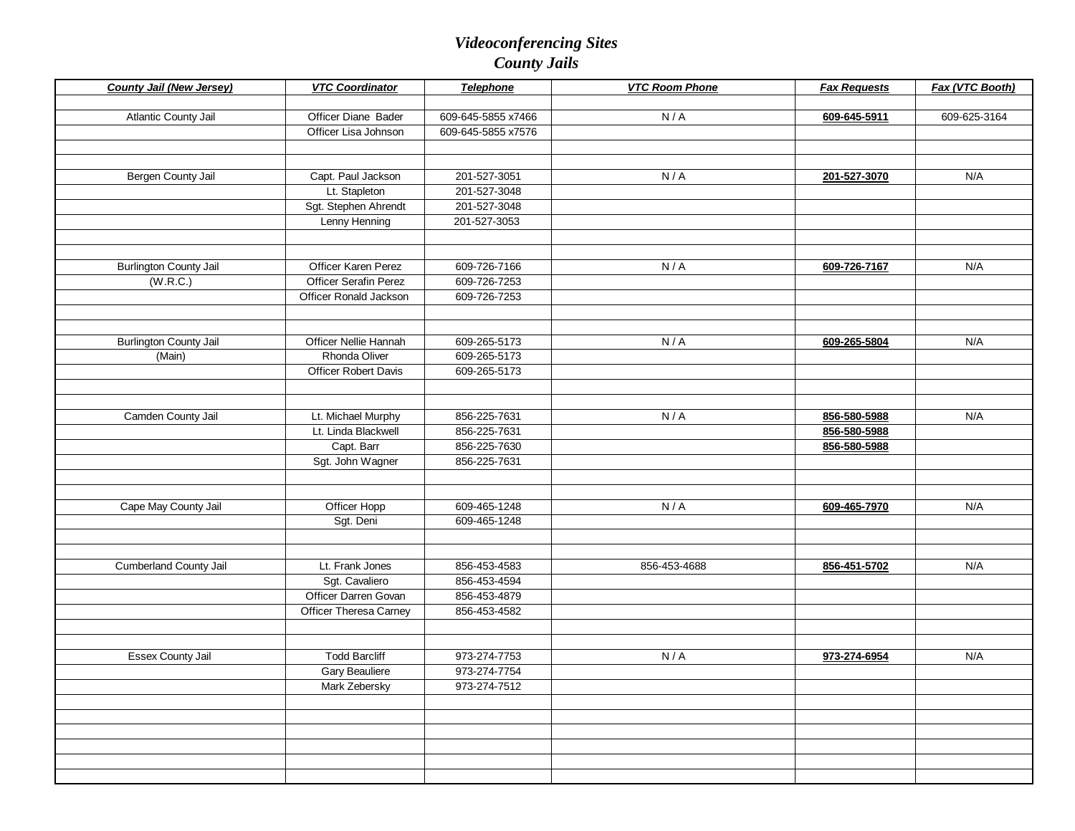| <b>County Jail (New Jersey)</b> | <b>VTC Coordinator</b>      | <b>Telephone</b>   | <b>VTC Room Phone</b> | <b>Fax Requests</b> | Fax (VTC Booth) |
|---------------------------------|-----------------------------|--------------------|-----------------------|---------------------|-----------------|
|                                 |                             |                    |                       |                     |                 |
| Atlantic County Jail            | Officer Diane Bader         | 609-645-5855 x7466 | N/A                   | 609-645-5911        | 609-625-3164    |
|                                 | Officer Lisa Johnson        | 609-645-5855 x7576 |                       |                     |                 |
|                                 |                             |                    |                       |                     |                 |
| Bergen County Jail              | Capt. Paul Jackson          | 201-527-3051       | N/A                   | 201-527-3070        | N/A             |
|                                 | Lt. Stapleton               | 201-527-3048       |                       |                     |                 |
|                                 | Sgt. Stephen Ahrendt        | 201-527-3048       |                       |                     |                 |
|                                 | Lenny Henning               | 201-527-3053       |                       |                     |                 |
|                                 |                             |                    |                       |                     |                 |
|                                 |                             |                    |                       |                     |                 |
| <b>Burlington County Jail</b>   | Officer Karen Perez         | 609-726-7166       | N/A                   | 609-726-7167        | N/A             |
| (W.R.C.)                        | Officer Serafin Perez       | 609-726-7253       |                       |                     |                 |
|                                 | Officer Ronald Jackson      | 609-726-7253       |                       |                     |                 |
|                                 |                             |                    |                       |                     |                 |
|                                 |                             |                    |                       |                     |                 |
| <b>Burlington County Jail</b>   | Officer Nellie Hannah       | 609-265-5173       | N/A                   | 609-265-5804        | N/A             |
| (Main)                          | Rhonda Oliver               | 609-265-5173       |                       |                     |                 |
|                                 | <b>Officer Robert Davis</b> | 609-265-5173       |                       |                     |                 |
|                                 |                             |                    |                       |                     |                 |
|                                 |                             |                    |                       |                     |                 |
| Camden County Jail              | Lt. Michael Murphy          | 856-225-7631       | N/A                   | 856-580-5988        | N/A             |
|                                 | Lt. Linda Blackwell         | 856-225-7631       |                       | 856-580-5988        |                 |
|                                 | Capt. Barr                  | 856-225-7630       |                       | 856-580-5988        |                 |
|                                 | Sgt. John Wagner            | 856-225-7631       |                       |                     |                 |
|                                 |                             |                    |                       |                     |                 |
|                                 |                             |                    |                       |                     |                 |
| Cape May County Jail            | Officer Hopp<br>Sgt. Deni   | 609-465-1248       | N/A                   | 609-465-7970        | N/A             |
|                                 |                             | 609-465-1248       |                       |                     |                 |
|                                 |                             |                    |                       |                     |                 |
| <b>Cumberland County Jail</b>   | Lt. Frank Jones             | 856-453-4583       | 856-453-4688          | 856-451-5702        | N/A             |
|                                 | Sgt. Cavaliero              | 856-453-4594       |                       |                     |                 |
|                                 | Officer Darren Govan        | 856-453-4879       |                       |                     |                 |
|                                 | Officer Theresa Carney      | 856-453-4582       |                       |                     |                 |
|                                 |                             |                    |                       |                     |                 |
|                                 |                             |                    |                       |                     |                 |
| <b>Essex County Jail</b>        | <b>Todd Barcliff</b>        | 973-274-7753       | N/A                   | 973-274-6954        | N/A             |
|                                 | <b>Gary Beauliere</b>       | 973-274-7754       |                       |                     |                 |
|                                 | Mark Zebersky               | 973-274-7512       |                       |                     |                 |
|                                 |                             |                    |                       |                     |                 |
|                                 |                             |                    |                       |                     |                 |
|                                 |                             |                    |                       |                     |                 |
|                                 |                             |                    |                       |                     |                 |
|                                 |                             |                    |                       |                     |                 |
|                                 |                             |                    |                       |                     |                 |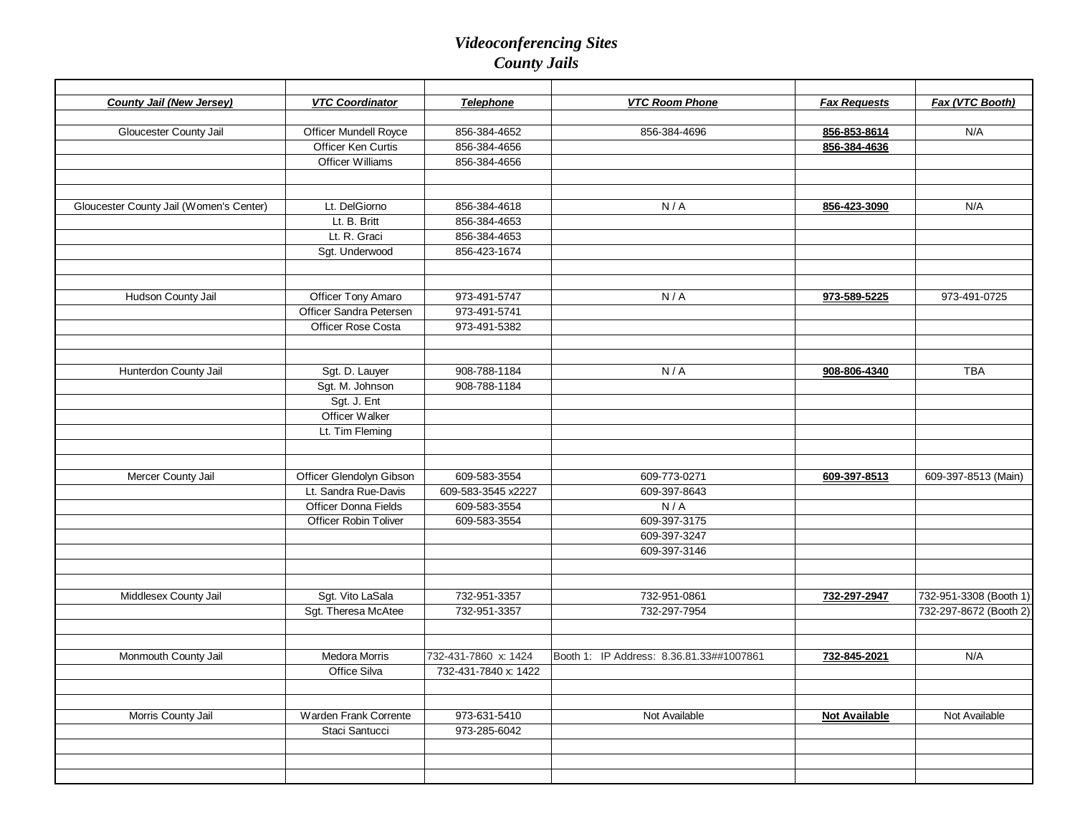| <b>County Jail (New Jersey)</b>         | <b>VTC Coordinator</b>       | <b>Telephone</b>     | <b>VTC Room Phone</b>                    | <b>Fax Requests</b>  | Fax (VTC Booth)        |
|-----------------------------------------|------------------------------|----------------------|------------------------------------------|----------------------|------------------------|
| Gloucester County Jail                  | <b>Officer Mundell Royce</b> | 856-384-4652         | 856-384-4696                             | 856-853-8614         | N/A                    |
|                                         | Officer Ken Curtis           | 856-384-4656         |                                          | 856-384-4636         |                        |
|                                         | Officer Williams             | 856-384-4656         |                                          |                      |                        |
|                                         |                              |                      |                                          |                      |                        |
|                                         |                              |                      |                                          |                      |                        |
| Gloucester County Jail (Women's Center) | Lt. DelGiorno                | 856-384-4618         | N/A                                      | 856-423-3090         | N/A                    |
|                                         | Lt. B. Britt                 | 856-384-4653         |                                          |                      |                        |
|                                         | Lt. R. Graci                 | 856-384-4653         |                                          |                      |                        |
|                                         | Sgt. Underwood               | 856-423-1674         |                                          |                      |                        |
|                                         |                              |                      |                                          |                      |                        |
| Hudson County Jail                      | <b>Officer Tony Amaro</b>    | 973-491-5747         | N/A                                      | 973-589-5225         | 973-491-0725           |
|                                         | Officer Sandra Petersen      | 973-491-5741         |                                          |                      |                        |
|                                         | <b>Officer Rose Costa</b>    | 973-491-5382         |                                          |                      |                        |
|                                         |                              |                      |                                          |                      |                        |
| Hunterdon County Jail                   | Sgt. D. Lauyer               | 908-788-1184         | N/A                                      | 908-806-4340         | <b>TBA</b>             |
|                                         | Sgt. M. Johnson              | 908-788-1184         |                                          |                      |                        |
|                                         | Sgt. J. Ent                  |                      |                                          |                      |                        |
|                                         | Officer Walker               |                      |                                          |                      |                        |
|                                         | Lt. Tim Fleming              |                      |                                          |                      |                        |
|                                         |                              |                      |                                          |                      |                        |
|                                         |                              |                      |                                          |                      |                        |
| Mercer County Jail                      | Officer Glendolyn Gibson     | 609-583-3554         | 609-773-0271                             | 609-397-8513         | 609-397-8513 (Main)    |
|                                         | Lt. Sandra Rue-Davis         | 609-583-3545 x2227   | 609-397-8643                             |                      |                        |
|                                         | Officer Donna Fields         | 609-583-3554         | N/A                                      |                      |                        |
|                                         | <b>Officer Robin Toliver</b> | 609-583-3554         | 609-397-3175                             |                      |                        |
|                                         |                              |                      | 609-397-3247                             |                      |                        |
|                                         |                              |                      | 609-397-3146                             |                      |                        |
|                                         |                              |                      |                                          |                      |                        |
| Middlesex County Jail                   | Sgt. Vito LaSala             | 732-951-3357         | 732-951-0861                             | 732-297-2947         | 732-951-3308 (Booth 1) |
|                                         | Sgt. Theresa McAtee          | 732-951-3357         | 732-297-7954                             |                      | 732-297-8672 (Booth 2) |
|                                         |                              |                      |                                          |                      |                        |
| Monmouth County Jail                    | <b>Medora Morris</b>         | 732-431-7860 x: 1424 | Booth 1: IP Address: 8.36.81.33##1007861 | 732-845-2021         | N/A                    |
|                                         | Office Silva                 | 732-431-7840 x: 1422 |                                          |                      |                        |
|                                         |                              |                      |                                          |                      |                        |
| Morris County Jail                      | Warden Frank Corrente        | 973-631-5410         | Not Available                            | <b>Not Available</b> | Not Available          |
|                                         | Staci Santucci               | 973-285-6042         |                                          |                      |                        |
|                                         |                              |                      |                                          |                      |                        |
|                                         |                              |                      |                                          |                      |                        |
|                                         |                              |                      |                                          |                      |                        |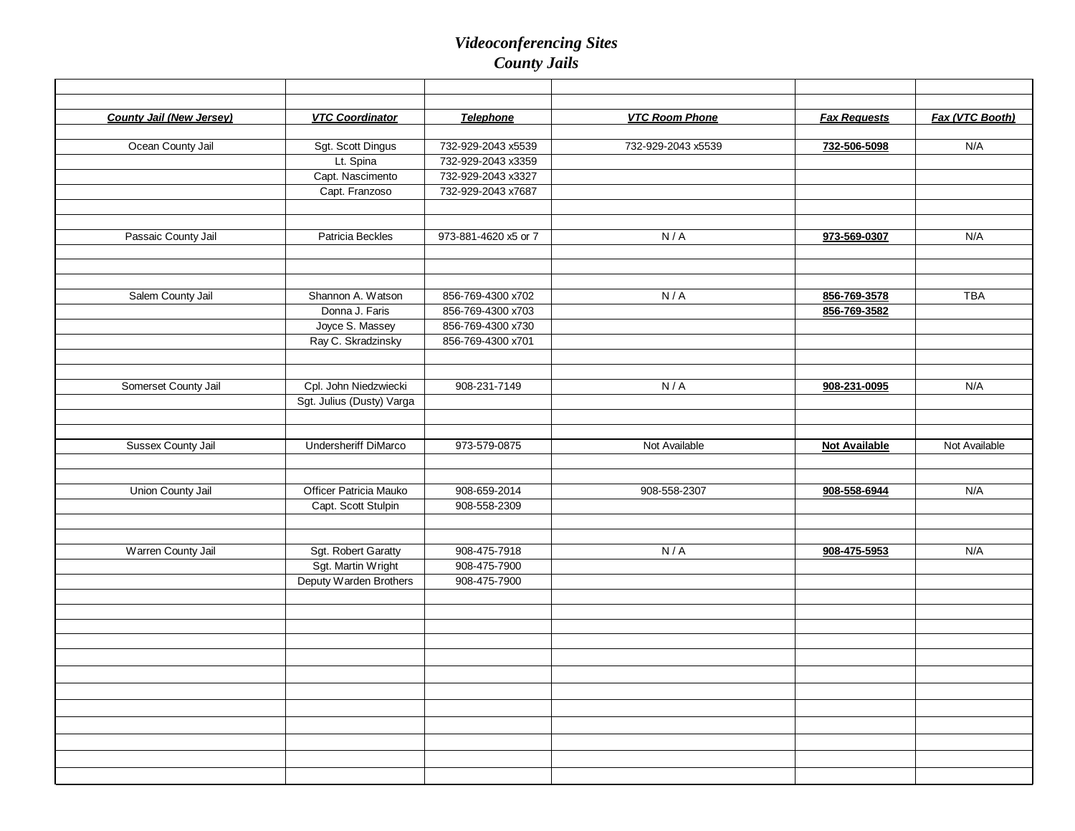| <b>County Jail (New Jersey)</b> | <b>VTC Coordinator</b>    | Telephone            | <b>VTC Room Phone</b> | <b>Fax Requests</b>  | Fax (VTC Booth) |
|---------------------------------|---------------------------|----------------------|-----------------------|----------------------|-----------------|
|                                 |                           |                      |                       |                      |                 |
| Ocean County Jail               | Sgt. Scott Dingus         | 732-929-2043 x5539   | 732-929-2043 x5539    | 732-506-5098         | N/A             |
|                                 | Lt. Spina                 | 732-929-2043 x3359   |                       |                      |                 |
|                                 | Capt. Nascimento          | 732-929-2043 x3327   |                       |                      |                 |
|                                 | Capt. Franzoso            | 732-929-2043 x7687   |                       |                      |                 |
|                                 |                           |                      |                       |                      |                 |
|                                 |                           |                      |                       |                      |                 |
| Passaic County Jail             | Patricia Beckles          | 973-881-4620 x5 or 7 | N/A                   | 973-569-0307         | N/A             |
|                                 |                           |                      |                       |                      |                 |
|                                 |                           |                      |                       |                      |                 |
| Salem County Jail               | Shannon A. Watson         | 856-769-4300 x702    | N/A                   | 856-769-3578         | <b>TBA</b>      |
|                                 | Donna J. Faris            | 856-769-4300 x703    |                       | 856-769-3582         |                 |
|                                 | Joyce S. Massey           | 856-769-4300 x730    |                       |                      |                 |
|                                 | Ray C. Skradzinsky        | 856-769-4300 x701    |                       |                      |                 |
|                                 |                           |                      |                       |                      |                 |
|                                 |                           |                      |                       |                      |                 |
| Somerset County Jail            | Cpl. John Niedzwiecki     | 908-231-7149         | N/A                   | 908-231-0095         | N/A             |
|                                 | Sgt. Julius (Dusty) Varga |                      |                       |                      |                 |
|                                 |                           |                      |                       |                      |                 |
|                                 |                           |                      |                       |                      |                 |
| Sussex County Jail              | Undersheriff DiMarco      | 973-579-0875         | Not Available         | <b>Not Available</b> | Not Available   |
|                                 |                           |                      |                       |                      |                 |
| Union County Jail               | Officer Patricia Mauko    | 908-659-2014         | 908-558-2307          | 908-558-6944         | N/A             |
|                                 | Capt. Scott Stulpin       | 908-558-2309         |                       |                      |                 |
|                                 |                           |                      |                       |                      |                 |
|                                 |                           |                      |                       |                      |                 |
| Warren County Jail              | Sgt. Robert Garatty       | 908-475-7918         | N/A                   | 908-475-5953         | N/A             |
|                                 | Sgt. Martin Wright        | 908-475-7900         |                       |                      |                 |
|                                 | Deputy Warden Brothers    | 908-475-7900         |                       |                      |                 |
|                                 |                           |                      |                       |                      |                 |
|                                 |                           |                      |                       |                      |                 |
|                                 |                           |                      |                       |                      |                 |
|                                 |                           |                      |                       |                      |                 |
|                                 |                           |                      |                       |                      |                 |
|                                 |                           |                      |                       |                      |                 |
|                                 |                           |                      |                       |                      |                 |
|                                 |                           |                      |                       |                      |                 |
|                                 |                           |                      |                       |                      |                 |
|                                 |                           |                      |                       |                      |                 |
|                                 |                           |                      |                       |                      |                 |
|                                 |                           |                      |                       |                      |                 |